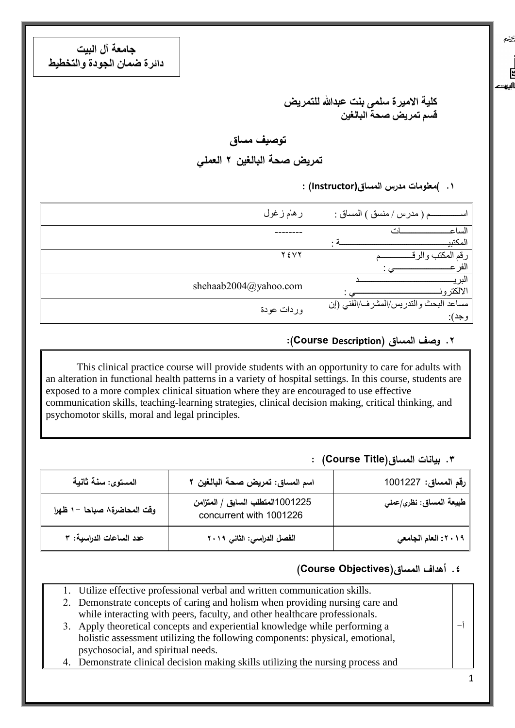**جامعة آل البيت دائرة ضمان الجودة والتخطيط**

> كلية الاميرة سل*مى* بنت عبدالله للتمريض **قسم تمريض صحت البالغيه**

## **توصيف مساق**

**تمريض صحة البالغين 2 العممي**

**.1 (معمومات مدرس المساق(Instructor ):**

یخچ

 $\begin{bmatrix} 1 & 0 \\ 0 & 1 \end{bmatrix}$ أليرت

| ر هام ز غول           | م ( مدر س / منسق ) المساق :           |
|-----------------------|---------------------------------------|
|                       | الساع                                 |
|                       | المكتبي                               |
| Y EVY                 | ِ قم                                  |
|                       | افر                                   |
| shehaab2004@yahoo.com |                                       |
|                       | الالكتر و                             |
| وردات عودة            | مساعد البحث والتدريس/المشرف/الفني (إن |
|                       | وجد):                                 |

### **.2 وصف المساق )Description Course(:**

This clinical practice course will provide students with an opportunity to care for adults with an alteration in functional health patterns in a variety of hospital settings. In this course, students are exposed to a more complex clinical situation where they are encouraged to use effective communication skills, teaching-learning strategies, clinical decision making, critical thinking, and psychomotor skills, moral and legal principles.

#### **.3 بيانات المساق(Title Course (:**

| المستوى: سنـة ثانيـة         | اسم المساق: تمريض صحة البالغين ٢                            | <sup>ا</sup> رقم المساق: 1001227 |
|------------------------------|-------------------------------------------------------------|----------------------------------|
| وقت المحاضرة ٨ صباحا -١ ظهرا | 1001225المتطلب السابق / المتزامن<br>concurrent with 1001226 | طبيعة المساق: نظري/عملي          |
| عدد الساعات الدراسية: ٣      | الفصل الدراسي: الثاني ٢٠١٩                                  | ٢٠١٩: العام الجامعي              |

#### **.4 أهداف المساق)Objectives Course)**

| 1. Utilize effective professional verbal and written communication skills.       |  |
|----------------------------------------------------------------------------------|--|
| 2. Demonstrate concepts of caring and holism when providing nursing care and     |  |
| while interacting with peers, faculty, and other healthcare professionals.       |  |
| 3. Apply theoretical concepts and experiential knowledge while performing a      |  |
| holistic assessment utilizing the following components: physical, emotional,     |  |
| psychosocial, and spiritual needs.                                               |  |
| 4. Demonstrate clinical decision making skills utilizing the nursing process and |  |
|                                                                                  |  |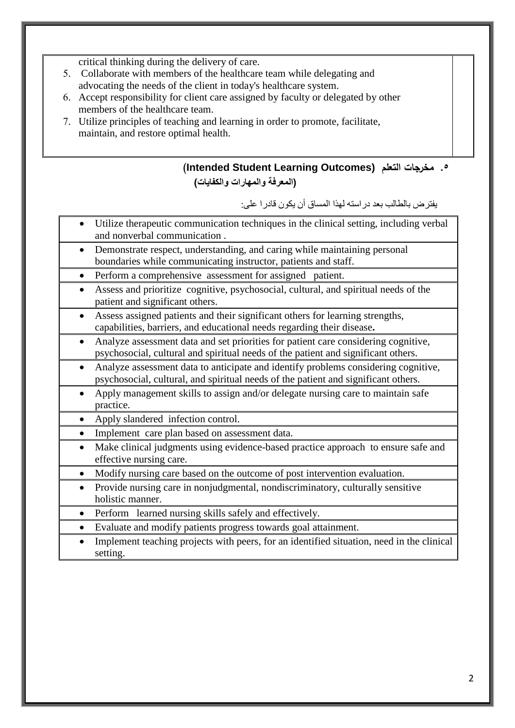critical thinking during the delivery of care.

- 5. Collaborate with members of the healthcare team while delegating and advocating the needs of the client in today's healthcare system.
- 6. Accept responsibility for client care assigned by faculty or delegated by other members of the healthcare team.
- 7. Utilize principles of teaching and learning in order to promote, facilitate, maintain, and restore optimal health.

**(Intended Student Learning Outcomes) التعمم مخرجات .5 )المعرفة والمهارات والكفايات(**

يفتزض بالطالب بعذ دراسته لهذا الوساق أى يكىى لادرا على:

- Utilize therapeutic communication techniques in the clinical setting, including verbal and nonverbal communication .
- Demonstrate respect, understanding, and caring while maintaining personal boundaries while communicating instructor, patients and staff.
- Perform a comprehensive assessment for assigned patient.
- Assess and prioritize cognitive, psychosocial, cultural, and spiritual needs of the patient and significant others.
- Assess assigned patients and their significant others for learning strengths, capabilities, barriers, and educational needs regarding their disease**.**
- Analyze assessment data and set priorities for patient care considering cognitive, psychosocial, cultural and spiritual needs of the patient and significant others.
- Analyze assessment data to anticipate and identify problems considering cognitive, psychosocial, cultural, and spiritual needs of the patient and significant others.
- Apply management skills to assign and/or delegate nursing care to maintain safe practice.
- Apply slandered infection control.
- Implement care plan based on assessment data.
- Make clinical judgments using evidence-based practice approach to ensure safe and effective nursing care.
- Modify nursing care based on the outcome of post intervention evaluation.
- Provide nursing care in nonjudgmental, nondiscriminatory, culturally sensitive holistic manner.
- Perform learned nursing skills safely and effectively.
- Evaluate and modify patients progress towards goal attainment.
- Implement teaching projects with peers, for an identified situation, need in the clinical setting.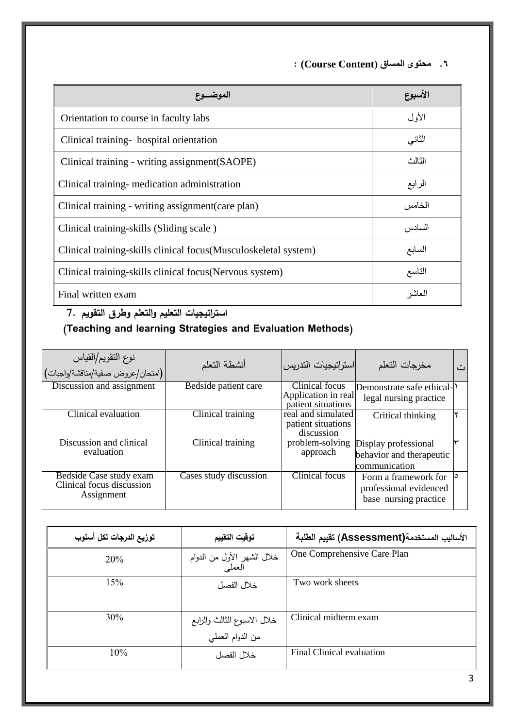**.6 محتوى المساق )Content Course (:**

| الموضسوع                                                        | الأسبوع |
|-----------------------------------------------------------------|---------|
| Orientation to course in faculty labs                           | الأول   |
| Clinical training-hospital orientation                          | الثاني  |
| Clinical training - writing assignment (SAOPE)                  | الثالث  |
| Clinical training-medication administration                     | الرابع  |
| Clinical training - writing assignment (care plan)              | الخامس  |
| Clinical training-skills (Sliding scale)                        | السادس  |
| Clinical training-skills clinical focus(Musculoskeletal system) | السابع  |
| Clinical training-skills clinical focus (Nervous system)        | التاسع  |
| Final written exam                                              | لعاشر   |

**استراتيجيات التعميم والتعمم وطرق التقويم 7.**

# **(Teaching and learning Strategies and Evaluation Methods)**

| نوع النقويم/القياس<br>(امتحان/عروض صفية/مناقشة/واجبات) | أنشطة التعلم           | استراتيجيات التدريس                       | مخرجات التعلم             |  |
|--------------------------------------------------------|------------------------|-------------------------------------------|---------------------------|--|
| Discussion and assignment                              | Bedside patient care   | Clinical focus                            | Demonstrate safe ethical- |  |
|                                                        |                        | Application in real<br>patient situations | legal nursing practice    |  |
| Clinical evaluation                                    | Clinical training      | real and simulated                        | Critical thinking         |  |
|                                                        |                        | patient situations<br>discussion          |                           |  |
| Discussion and clinical                                | Clinical training      | problem-solving                           | Display professional      |  |
| evaluation                                             |                        | approach                                  | behavior and therapeutic  |  |
|                                                        |                        |                                           | communication             |  |
| Bedside Case study exam                                | Cases study discussion | <b>Clinical focus</b>                     | Form a framework for      |  |
| Clinical focus discussion<br>Assignment                |                        |                                           | professional evidenced    |  |
|                                                        |                        |                                           | base nursing practice     |  |

| توزيع الدرجات لكل أسلوب | توقيت التقييم                                   | الأساليب المستخدمة(Assessment) تقييم الطلبة |
|-------------------------|-------------------------------------------------|---------------------------------------------|
| 20%                     | خلال الشهر الأول من الدوام<br>العملي            | One Comprehensive Care Plan                 |
| 15%                     | خلال الفصل                                      | Two work sheets                             |
| 30%                     | خلال الاسبوع الثالث والرابع<br>من الدوام العملي | Clinical midterm exam                       |
| 10%                     | خلال الفصل                                      | Final Clinical evaluation                   |